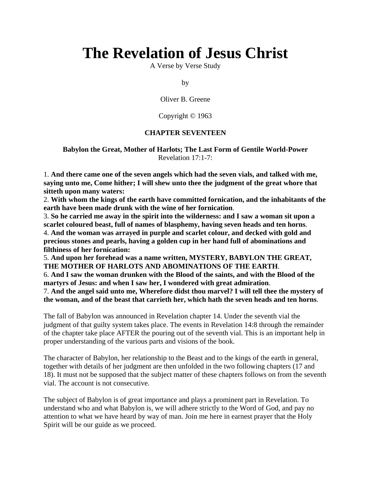# **The Revelation of Jesus Christ**

A Verse by Verse Study

by

Oliver B. Greene

#### Copyright © 1963

#### **CHAPTER SEVENTEEN**

# **Babylon the Great, Mother of Harlots; The Last Form of Gentile World-Power** Revelation 17:1-7:

1. **And there came one of the seven angels which had the seven vials, and talked with me, saying unto me, Come hither; I will shew unto thee the judgment of the great whore that sitteth upon many waters:**

2. **With whom the kings of the earth have committed fornication, and the inhabitants of the earth have been made drunk with the wine of her fornication**.

3. **So he carried me away in the spirit into the wilderness: and I saw a woman sit upon a scarlet coloured beast, full of names of blasphemy, having seven heads and ten horns**.

4. **And the woman was arrayed in purple and scarlet colour, and decked with gold and precious stones and pearls, having a golden cup in her hand full of abominations and filthiness of her fornication:**

5. **And upon her forehead was a name written, MYSTERY, BABYLON THE GREAT, THE MOTHER OF HARLOTS AND ABOMINATIONS OF THE EARTH**. 6. **And I saw the woman drunken with the Blood of the saints, and with the Blood of the martyrs of Jesus: and when I saw her, I wondered with great admiration**.

7. **And the angel said unto me, Wherefore didst thou marvel? I will tell thee the mystery of the woman, and of the beast that carrieth her, which hath the seven heads and ten horns**.

The fall of Babylon was announced in Revelation chapter 14. Under the seventh vial the judgment of that guilty system takes place. The events in Revelation 14:8 through the remainder of the chapter take place AFTER the pouring out of the seventh vial. This is an important help in proper understanding of the various parts and visions of the book.

The character of Babylon, her relationship to the Beast and to the kings of the earth in general, together with details of her judgment are then unfolded in the two following chapters (17 and 18). It must not be supposed that the subject matter of these chapters follows on from the seventh vial. The account is not consecutive.

The subject of Babylon is of great importance and plays a prominent part in Revelation. To understand who and what Babylon is, we will adhere strictly to the Word of God, and pay no attention to what we have heard by way of man. Join me here in earnest prayer that the Holy Spirit will be our guide as we proceed.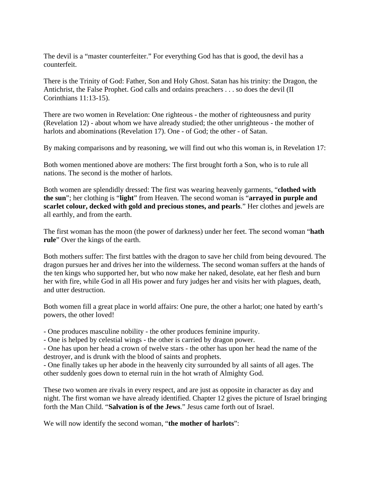The devil is a "master counterfeiter." For everything God has that is good, the devil has a counterfeit.

There is the Trinity of God: Father, Son and Holy Ghost. Satan has his trinity: the Dragon, the Antichrist, the False Prophet. God calls and ordains preachers . . . so does the devil (II Corinthians 11:13-15).

There are two women in Revelation: One righteous - the mother of righteousness and purity (Revelation 12) - about whom we have already studied; the other unrighteous - the mother of harlots and abominations (Revelation 17). One - of God; the other - of Satan.

By making comparisons and by reasoning, we will find out who this woman is, in Revelation 17:

Both women mentioned above are mothers: The first brought forth a Son, who is to rule all nations. The second is the mother of harlots.

Both women are splendidly dressed: The first was wearing heavenly garments, "**clothed with the sun**"; her clothing is "**light**" from Heaven. The second woman is "**arrayed in purple and scarlet colour, decked with gold and precious stones, and pearls**." Her clothes and jewels are all earthly, and from the earth.

The first woman has the moon (the power of darkness) under her feet. The second woman "**hath rule**" Over the kings of the earth.

Both mothers suffer: The first battles with the dragon to save her child from being devoured. The dragon pursues her and drives her into the wilderness. The second woman suffers at the hands of the ten kings who supported her, but who now make her naked, desolate, eat her flesh and burn her with fire, while God in all His power and fury judges her and visits her with plagues, death, and utter destruction.

Both women fill a great place in world affairs: One pure, the other a harlot; one hated by earth's powers, the other loved!

- One produces masculine nobility - the other produces feminine impurity.

- One is helped by celestial wings - the other is carried by dragon power.

- One has upon her head a crown of twelve stars - the other has upon her head the name of the destroyer, and is drunk with the blood of saints and prophets.

- One finally takes up her abode in the heavenly city surrounded by all saints of all ages. The other suddenly goes down to eternal ruin in the hot wrath of Almighty God.

These two women are rivals in every respect, and are just as opposite in character as day and night. The first woman we have already identified. Chapter 12 gives the picture of Israel bringing forth the Man Child. "**Salvation is of the Jews**." Jesus came forth out of Israel.

We will now identify the second woman, "**the mother of harlots**":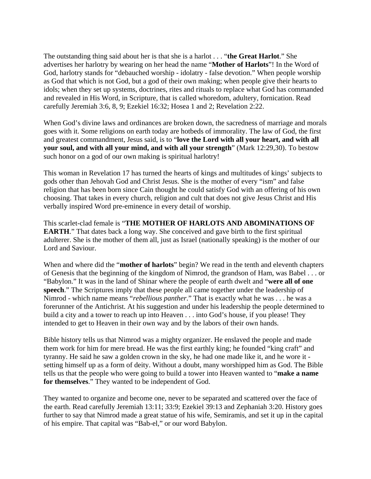The outstanding thing said about her is that she is a harlot . . . "**the Great Harlot**." She advertises her harlotry by wearing on her head the name "**Mother of Harlots**"! In the Word of God, harlotry stands for "debauched worship - idolatry - false devotion." When people worship as God that which is not God, but a god of their own making; when people give their hearts to idols; when they set up systems, doctrines, rites and rituals to replace what God has commanded and revealed in His Word, in Scripture, that is called whoredom, adultery, fornication. Read carefully Jeremiah 3:6, 8, 9; Ezekiel 16:32; Hosea 1 and 2; Revelation 2:22.

When God's divine laws and ordinances are broken down, the sacredness of marriage and morals goes with it. Some religions on earth today are hotbeds of immorality. The law of God, the first and greatest commandment, Jesus said, is to "**love the Lord with all your heart, and with all your soul, and with all your mind, and with all your strength**" (Mark 12:29,30). To bestow such honor on a god of our own making is spiritual harlotry!

This woman in Revelation 17 has turned the hearts of kings and multitudes of kings' subjects to gods other than Jehovah God and Christ Jesus. She is the mother of every "ism" and false religion that has been born since Cain thought he could satisfy God with an offering of his own choosing. That takes in every church, religion and cult that does not give Jesus Christ and His verbally inspired Word pre-eminence in every detail of worship.

This scarlet-clad female is "**THE MOTHER OF HARLOTS AND ABOMINATIONS OF EARTH.**" That dates back a long way. She conceived and gave birth to the first spiritual adulterer. She is the mother of them all, just as Israel (nationally speaking) is the mother of our Lord and Saviour.

When and where did the "**mother of harlots**" begin? We read in the tenth and eleventh chapters of Genesis that the beginning of the kingdom of Nimrod, the grandson of Ham, was Babel . . . or "Babylon." It was in the land of Shinar where the people of earth dwelt and "**were all of one speech**." The Scriptures imply that these people all came together under the leadership of Nimrod - which name means "*rebellious panther*." That is exactly what he was . . . he was a forerunner of the Antichrist. At his suggestion and under his leadership the people determined to build a city and a tower to reach up into Heaven . . . into God's house, if you please! They intended to get to Heaven in their own way and by the labors of their own hands.

Bible history tells us that Nimrod was a mighty organizer. He enslaved the people and made them work for him for mere bread. He was the first earthly king; he founded "king craft" and tyranny. He said he saw a golden crown in the sky, he had one made like it, and he wore it setting himself up as a form of deity. Without a doubt, many worshipped him as God. The Bible tells us that the people who were going to build a tower into Heaven wanted to "**make a name for themselves**." They wanted to be independent of God.

They wanted to organize and become one, never to be separated and scattered over the face of the earth. Read carefully Jeremiah 13:11; 33:9; Ezekiel 39:13 and Zephaniah 3:20. History goes further to say that Nimrod made a great statue of his wife, Semiramis, and set it up in the capital of his empire. That capital was "Bab-el," or our word Babylon.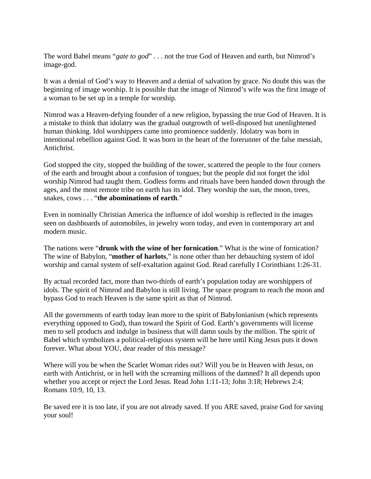The word Babel means "*gate to god*" . . . not the true God of Heaven and earth, but Nimrod's image-god.

It was a denial of God's way to Heaven and a denial of salvation by grace. No doubt this was the beginning of image worship. It is possible that the image of Nimrod's wife was the first image of a woman to be set up in a temple for worship.

Nimrod was a Heaven-defying founder of a new religion, bypassing the true God of Heaven. It is a mistake to think that idolatry was the gradual outgrowth of well-disposed but unenlightened human thinking. Idol worshippers came into prominence suddenly. Idolatry was born in intentional rebellion against God. It was born in the heart of the forerunner of the false messiah, Antichrist.

God stopped the city, stopped the building of the tower, scattered the people to the four corners of the earth and brought about a confusion of tongues; but the people did not forget the idol worship Nimrod had taught them. Godless forms and rituals have been handed down through the ages, and the most remote tribe on earth has its idol. They worship the sun, the moon, trees, snakes, cows . . . "**the abominations of earth**."

Even in nominally Christian America the influence of idol worship is reflected in the images seen on dashboards of automobiles, in jewelry worn today, and even in contemporary art and modern music.

The nations were "**drunk with the wine of her fornication**." What is the wine of fornication? The wine of Babylon, "**mother of harlots**," is none other than her debauching system of idol worship and carnal system of self-exaltation against God. Read carefully I Corinthians 1:26-31.

By actual recorded fact, more than two-thirds of earth's population today are worshippers of idols. The spirit of Nimrod and Babylon is still living. The space program to reach the moon and bypass God to reach Heaven is the same spirit as that of Nimrod.

All the governments of earth today lean more to the spirit of Babylonianism (which represents everything opposed to God), than toward the Spirit of God. Earth's governments will license men to sell products and indulge in business that will damn souls by the million. The spirit of Babel which symbolizes a political-religious system will be here until King Jesus puts it down forever. What about YOU, dear reader of this message?

Where will you be when the Scarlet Woman rides out? Will you be in Heaven with Jesus, on earth with Antichrist, or in hell with the screaming millions of the damned? It all depends upon whether you accept or reject the Lord Jesus. Read John 1:11-13; John 3:18; Hebrews 2:4; Romans 10:9, 10, 13.

Be saved ere it is too late, if you are not already saved. If you ARE saved, praise God for saving your soul!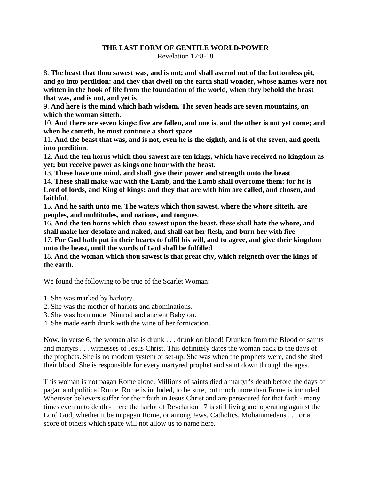#### **THE LAST FORM OF GENTILE WORLD-POWER**  Revelation 17:8-18

8. **The beast that thou sawest was, and is not; and shall ascend out of the bottomless pit, and go into perdition: and they that dwell on the earth shall wonder, whose names were not written in the book of life from the foundation of the world, when they behold the beast that was, and is not, and yet is**.

9. **And here is the mind which hath wisdom. The seven heads are seven mountains, on which the woman sitteth**.

10. **And there are seven kings: five are fallen, and one is, and the other is not yet come; and when he cometh, he must continue a short space**.

11. **And the beast that was, and is not, even he is the eighth, and is of the seven, and goeth into perdition**.

12. **And the ten horns which thou sawest are ten kings, which have received no kingdom as yet; but receive power as kings one hour with the beast**.

13. **These have one mind, and shall give their power and strength unto the beast**.

14. **These shall make war with the Lamb, and the Lamb shall overcome them: for he is Lord of lords, and King of kings: and they that are with him are called, and chosen, and faithful**.

15. **And he saith unto me, The waters which thou sawest, where the whore sitteth, are peoples, and multitudes, and nations, and tongues**.

16. **And the ten horns which thou sawest upon the beast, these shall hate the whore, and shall make her desolate and naked, and shall eat her flesh, and burn her with fire**.

17. **For God hath put in their hearts to fulfil his will, and to agree, and give their kingdom unto the beast, until the words of God shall be fulfilled**.

18. **And the woman which thou sawest is that great city, which reigneth over the kings of the earth**.

We found the following to be true of the Scarlet Woman:

- 1. She was marked by harlotry.
- 2. She was the mother of harlots and abominations.
- 3. She was born under Nimrod and ancient Babylon.
- 4. She made earth drunk with the wine of her fornication.

Now, in verse 6, the woman also is drunk . . . drunk on blood! Drunken from the Blood of saints and martyrs . . . witnesses of Jesus Christ. This definitely dates the woman back to the days of the prophets. She is no modern system or set-up. She was when the prophets were, and she shed their blood. She is responsible for every martyred prophet and saint down through the ages.

This woman is not pagan Rome alone. Millions of saints died a martyr's death before the days of pagan and political Rome. Rome is included, to be sure, but much more than Rome is included. Wherever believers suffer for their faith in Jesus Christ and are persecuted for that faith - many times even unto death - there the harlot of Revelation 17 is still living and operating against the Lord God, whether it be in pagan Rome, or among Jews, Catholics, Mohammedans . . . or a score of others which space will not allow us to name here.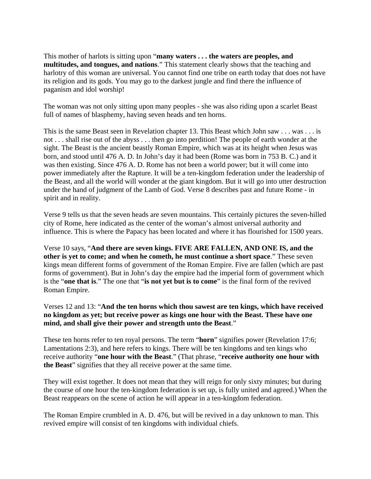This mother of harlots is sitting upon "**many waters . . . the waters are peoples, and multitudes, and tongues, and nations**." This statement clearly shows that the teaching and harlotry of this woman are universal. You cannot find one tribe on earth today that does not have its religion and its gods. You may go to the darkest jungle and find there the influence of paganism and idol worship!

The woman was not only sitting upon many peoples - she was also riding upon a scarlet Beast full of names of blasphemy, having seven heads and ten horns.

This is the same Beast seen in Revelation chapter 13. This Beast which John saw . . . was . . . is not . . . shall rise out of the abyss . . . then go into perdition! The people of earth wonder at the sight. The Beast is the ancient beastly Roman Empire, which was at its height when Jesus was born, and stood until 476 A. D. In John's day it had been (Rome was born in 753 B. C.) and it was then existing. Since 476 A. D. Rome has not been a world power; but it will come into power immediately after the Rapture. It will be a ten-kingdom federation under the leadership of the Beast, and all the world will wonder at the giant kingdom. But it will go into utter destruction under the hand of judgment of the Lamb of God. Verse 8 describes past and future Rome - in spirit and in reality.

Verse 9 tells us that the seven heads are seven mountains. This certainly pictures the seven-hilled city of Rome, here indicated as the center of the woman's almost universal authority and influence. This is where the Papacy has been located and where it has flourished for 1500 years.

Verse 10 says, "**And there are seven kings. FIVE ARE FALLEN, AND ONE IS, and the other is yet to come; and when he cometh, he must continue a short space**." These seven kings mean different forms of government of the Roman Empire. Five are fallen (which are past forms of government). But in John's day the empire had the imperial form of government which is the "**one that is**." The one that "**is not yet but is to come**" is the final form of the revived Roman Empire.

Verses 12 and 13: "**And the ten horns which thou sawest are ten kings, which have received no kingdom as yet; but receive power as kings one hour with the Beast. These have one mind, and shall give their power and strength unto the Beast**."

These ten horns refer to ten royal persons. The term "**horn**" signifies power (Revelation 17:6; Lamentations 2:3), and here refers to kings. There will be ten kingdoms and ten kings who receive authority "**one hour with the Beast**." (That phrase, "**receive authority one hour with the Beast**" signifies that they all receive power at the same time.

They will exist together. It does not mean that they will reign for only sixty minutes; but during the course of one hour the ten-kingdom federation is set up, is fully united and agreed.) When the Beast reappears on the scene of action he will appear in a ten-kingdom federation.

The Roman Empire crumbled in A. D. 476, but will be revived in a day unknown to man. This revived empire will consist of ten kingdoms with individual chiefs.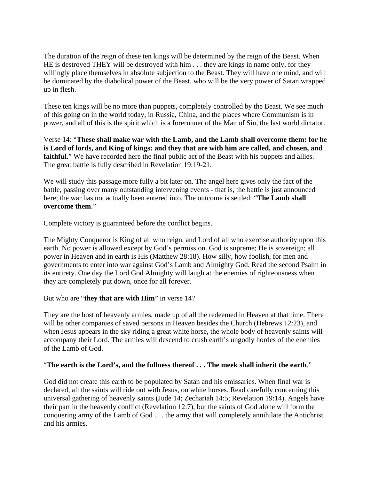The duration of the reign of these ten kings will be determined by the reign of the Beast. When HE is destroyed THEY will be destroyed with him . . . they are kings in name only, for they willingly place themselves in absolute subjection to the Beast. They will have one mind, and will be dominated by the diabolical power of the Beast, who will be the very power of Satan wrapped up in flesh.

These ten kings will be no more than puppets, completely controlled by the Beast. We see much of this going on in the world today, in Russia, China, and the places where Communism is in power, and all of this is the spirit which is a forerunner of the Man of Sin, the last world dictator.

Verse 14: "**These shall make war with the Lamb, and the Lamb shall overcome them: for he is Lord of lords, and King of kings: and they that are with him are called, and chosen, and**  faithful." We have recorded here the final public act of the Beast with his puppets and allies. The great battle is fully described in Revelation 19:19-21.

We will study this passage more fully a bit later on. The angel here gives only the fact of the battle, passing over many outstanding intervening events - that is, the battle is just announced here; the war has not actually been entered into. The outcome is settled: "**The Lamb shall overcome them**."

Complete victory is guaranteed before the conflict begins.

The Mighty Conqueror is King of all who reign, and Lord of all who exercise authority upon this earth. No power is allowed except by God's permission. God is supreme; He is sovereign; all power in Heaven and in earth is His (Matthew 28:18). How silly, how foolish, for men and governments to enter into war against God's Lamb and Almighty God. Read the second Psalm in its entirety. One day the Lord God Almighty will laugh at the enemies of righteousness when they are completely put down, once for all forever.

#### But who are "**they that are with Him**" in verse 14?

They are the host of heavenly armies, made up of all the redeemed in Heaven at that time. There will be other companies of saved persons in Heaven besides the Church (Hebrews 12:23), and when Jesus appears in the sky riding a great white horse, the whole body of heavenly saints will accompany their Lord. The armies will descend to crush earth's ungodly hordes of the enemies of the Lamb of God.

#### "**The earth is the Lord's, and the fullness thereof . . . The meek shall inherit the earth**."

God did not create this earth to be populated by Satan and his emissaries. When final war is declared, all the saints will ride out with Jesus, on white horses. Read carefully concerning this universal gathering of heavenly saints (Jude 14; Zechariah 14:5; Revelation 19:14). Angels have their part in the heavenly conflict (Revelation 12:7), but the saints of God alone will form the conquering army of the Lamb of God . . . the army that will completely annihilate the Antichrist and his armies.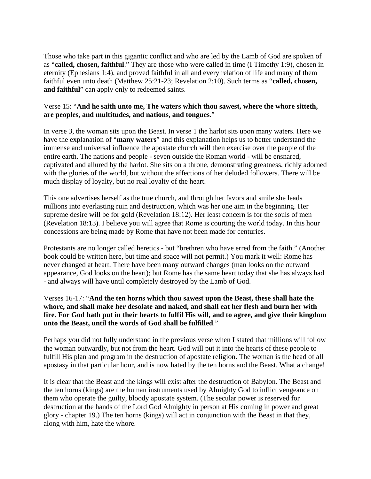Those who take part in this gigantic conflict and who are led by the Lamb of God are spoken of as "**called, chosen, faithful**." They are those who were called in time (I Timothy 1:9), chosen in eternity (Ephesians 1:4), and proved faithful in all and every relation of life and many of them faithful even unto death (Matthew 25:21-23; Revelation 2:10). Such terms as "**called, chosen, and faithful**" can apply only to redeemed saints.

# Verse 15: "**And he saith unto me, The waters which thou sawest, where the whore sitteth, are peoples, and multitudes, and nations, and tongues**."

In verse 3, the woman sits upon the Beast. In verse 1 the harlot sits upon many waters. Here we have the explanation of "**many waters**" and this explanation helps us to better understand the immense and universal influence the apostate church will then exercise over the people of the entire earth. The nations and people - seven outside the Roman world - will be ensnared, captivated and allured by the harlot. She sits on a throne, demonstrating greatness, richly adorned with the glories of the world, but without the affections of her deluded followers. There will be much display of loyalty, but no real loyalty of the heart.

This one advertises herself as the true church, and through her favors and smile she leads millions into everlasting ruin and destruction, which was her one aim in the beginning. Her supreme desire will be for gold (Revelation 18:12). Her least concern is for the souls of men (Revelation 18:13). I believe you will agree that Rome is courting the world today. In this hour concessions are being made by Rome that have not been made for centuries.

Protestants are no longer called heretics - but "brethren who have erred from the faith." (Another book could be written here, but time and space will not permit.) You mark it well: Rome has never changed at heart. There have been many outward changes (man looks on the outward appearance, God looks on the heart); but Rome has the same heart today that she has always had - and always will have until completely destroyed by the Lamb of God.

# Verses 16-17: "**And the ten horns which thou sawest upon the Beast, these shall hate the whore, and shall make her desolate and naked, and shall eat her flesh and burn her with fire. For God hath put in their hearts to fulfil His will, and to agree, and give their kingdom unto the Beast, until the words of God shall be fulfilled**."

Perhaps you did not fully understand in the previous verse when I stated that millions will follow the woman outwardly, but not from the heart. God will put it into the hearts of these people to fulfill His plan and program in the destruction of apostate religion. The woman is the head of all apostasy in that particular hour, and is now hated by the ten horns and the Beast. What a change!

It is clear that the Beast and the kings will exist after the destruction of Babylon. The Beast and the ten horns (kings) are the human instruments used by Almighty God to inflict vengeance on them who operate the guilty, bloody apostate system. (The secular power is reserved for destruction at the hands of the Lord God Almighty in person at His coming in power and great glory - chapter 19.) The ten horns (kings) will act in conjunction with the Beast in that they, along with him, hate the whore.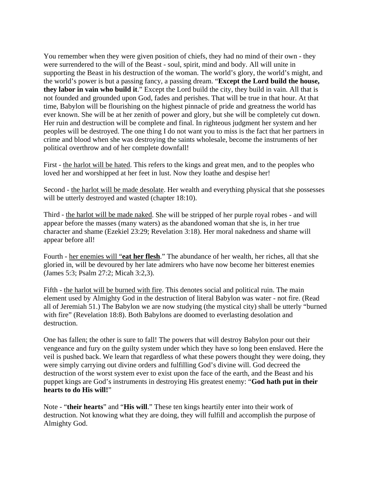You remember when they were given position of chiefs, they had no mind of their own - they were surrendered to the will of the Beast - soul, spirit, mind and body. All will unite in supporting the Beast in his destruction of the woman. The world's glory, the world's might, and the world's power is but a passing fancy, a passing dream. "**Except the Lord build the house, they labor in vain who build it**." Except the Lord build the city, they build in vain. All that is not founded and grounded upon God, fades and perishes. That will be true in that hour. At that time, Babylon will be flourishing on the highest pinnacle of pride and greatness the world has ever known. She will be at her zenith of power and glory, but she will be completely cut down. Her ruin and destruction will be complete and final. In righteous judgment her system and her peoples will be destroyed. The one thing I do not want you to miss is the fact that her partners in crime and blood when she was destroying the saints wholesale, become the instruments of her political overthrow and of her complete downfall!

First - the harlot will be hated. This refers to the kings and great men, and to the peoples who loved her and worshipped at her feet in lust. Now they loathe and despise her!

Second - the harlot will be made desolate. Her wealth and everything physical that she possesses will be utterly destroyed and wasted (chapter 18:10).

Third - the harlot will be made naked. She will be stripped of her purple royal robes - and will appear before the masses (many waters) as the abandoned woman that she is, in her true character and shame (Ezekiel 23:29; Revelation 3:18). Her moral nakedness and shame will appear before all!

Fourth - her enemies will "**eat her flesh**." The abundance of her wealth, her riches, all that she gloried in, will be devoured by her late admirers who have now become her bitterest enemies (James 5:3; Psalm 27:2; Micah 3:2,3).

Fifth - the harlot will be burned with fire. This denotes social and political ruin. The main element used by Almighty God in the destruction of literal Babylon was water - not fire. (Read all of Jeremiah 51.) The Babylon we are now studying (the mystical city) shall be utterly "burned with fire" (Revelation 18:8). Both Babylons are doomed to everlasting desolation and destruction.

One has fallen; the other is sure to fall! The powers that will destroy Babylon pour out their vengeance and fury on the guilty system under which they have so long been enslaved. Here the veil is pushed back. We learn that regardless of what these powers thought they were doing, they were simply carrying out divine orders and fulfilling God's divine will. God decreed the destruction of the worst system ever to exist upon the face of the earth, and the Beast and his puppet kings are God's instruments in destroying His greatest enemy: "**God hath put in their hearts to do His will!**"

Note - "**their hearts**" and "**His will**." These ten kings heartily enter into their work of destruction. Not knowing what they are doing, they will fulfill and accomplish the purpose of Almighty God.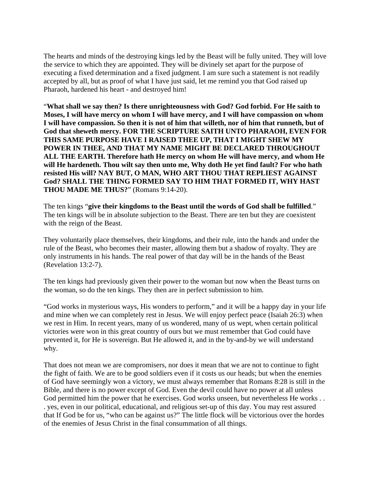The hearts and minds of the destroying kings led by the Beast will be fully united. They will love the service to which they are appointed. They will be divinely set apart for the purpose of executing a fixed determination and a fixed judgment. I am sure such a statement is not readily accepted by all, but as proof of what I have just said, let me remind you that God raised up Pharaoh, hardened his heart - and destroyed him!

"**What shall we say then? Is there unrighteousness with God? God forbid. For He saith to Moses, I will have mercy on whom I will have mercy, and I will have compassion on whom I will have compassion. So then it is not of him that willeth, nor of him that runneth, but of God that sheweth mercy. FOR THE SCRIPTURE SAITH UNTO PHARAOH, EVEN FOR THIS SAME PURPOSE HAVE I RAISED THEE UP, THAT I MIGHT SHEW MY POWER IN THEE, AND THAT MY NAME MIGHT BE DECLARED THROUGHOUT ALL THE EARTH. Therefore hath He mercy on whom He will have mercy, and whom He will He hardeneth. Thou wilt say then unto me, Why doth He yet find fault? For who hath resisted His will? NAY BUT, O MAN, WHO ART THOU THAT REPLIEST AGAINST God? SHALL THE THING FORMED SAY TO HIM THAT FORMED IT, WHY HAST THOU MADE ME THUS?**" (Romans 9:14-20).

The ten kings "**give their kingdoms to the Beast until the words of God shall be fulfilled**." The ten kings will be in absolute subjection to the Beast. There are ten but they are coexistent with the reign of the Beast.

They voluntarily place themselves, their kingdoms, and their rule, into the hands and under the rule of the Beast, who becomes their master, allowing them but a shadow of royalty. They are only instruments in his hands. The real power of that day will be in the hands of the Beast (Revelation 13:2-7).

The ten kings had previously given their power to the woman but now when the Beast turns on the woman, so do the ten kings. They then are in perfect submission to him.

"God works in mysterious ways, His wonders to perform," and it will be a happy day in your life and mine when we can completely rest in Jesus. We will enjoy perfect peace (Isaiah 26:3) when we rest in Him. In recent years, many of us wondered, many of us wept, when certain political victories were won in this great country of ours but we must remember that God could have prevented it, for He is sovereign. But He allowed it, and in the by-and-by we will understand why.

That does not mean we are compromisers, nor does it mean that we are not to continue to fight the fight of faith. We are to be good soldiers even if it costs us our heads; but when the enemies of God have seemingly won a victory, we must always remember that Romans 8:28 is still in the Bible, and there is no power except of God. Even the devil could have no power at all unless God permitted him the power that he exercises. God works unseen, but nevertheless He works . . . yes, even in our political, educational, and religious set-up of this day. You may rest assured that If God be for us, "who can be against us?" The little flock will be victorious over the hordes of the enemies of Jesus Christ in the final consummation of all things.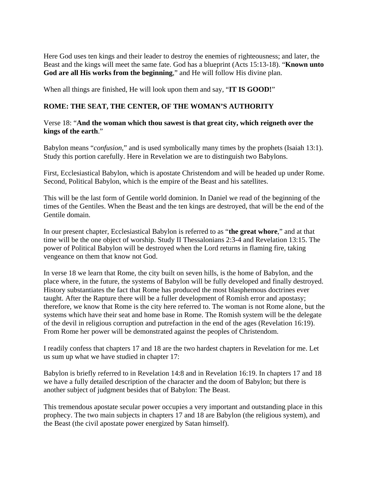Here God uses ten kings and their leader to destroy the enemies of righteousness; and later, the Beast and the kings will meet the same fate. God has a blueprint (Acts 15:13-18). "**Known unto God are all His works from the beginning**," and He will follow His divine plan.

When all things are finished, He will look upon them and say, "**IT IS GOOD!**"

# **ROME: THE SEAT, THE CENTER, OF THE WOMAN'S AUTHORITY**

# Verse 18: "**And the woman which thou sawest is that great city, which reigneth over the kings of the earth**."

Babylon means "*confusion*," and is used symbolically many times by the prophets (Isaiah 13:1). Study this portion carefully. Here in Revelation we are to distinguish two Babylons.

First, Ecclesiastical Babylon, which is apostate Christendom and will be headed up under Rome. Second, Political Babylon, which is the empire of the Beast and his satellites.

This will be the last form of Gentile world dominion. In Daniel we read of the beginning of the times of the Gentiles. When the Beast and the ten kings are destroyed, that will be the end of the Gentile domain.

In our present chapter, Ecclesiastical Babylon is referred to as "**the great whore**," and at that time will be the one object of worship. Study II Thessalonians 2:3-4 and Revelation 13:15. The power of Political Babylon will be destroyed when the Lord returns in flaming fire, taking vengeance on them that know not God.

In verse 18 we learn that Rome, the city built on seven hills, is the home of Babylon, and the place where, in the future, the systems of Babylon will be fully developed and finally destroyed. History substantiates the fact that Rome has produced the most blasphemous doctrines ever taught. After the Rapture there will be a fuller development of Romish error and apostasy; therefore, we know that Rome is the city here referred to. The woman is not Rome alone, but the systems which have their seat and home base in Rome. The Romish system will be the delegate of the devil in religious corruption and putrefaction in the end of the ages (Revelation 16:19). From Rome her power will be demonstrated against the peoples of Christendom.

I readily confess that chapters 17 and 18 are the two hardest chapters in Revelation for me. Let us sum up what we have studied in chapter 17:

Babylon is briefly referred to in Revelation 14:8 and in Revelation 16:19. In chapters 17 and 18 we have a fully detailed description of the character and the doom of Babylon; but there is another subject of judgment besides that of Babylon: The Beast.

This tremendous apostate secular power occupies a very important and outstanding place in this prophecy. The two main subjects in chapters 17 and 18 are Babylon (the religious system), and the Beast (the civil apostate power energized by Satan himself).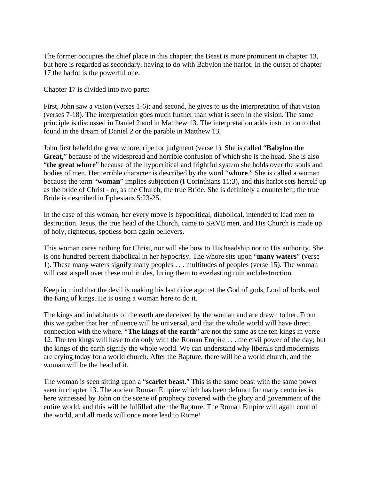The former occupies the chief place in this chapter; the Beast is more prominent in chapter 13, but here is regarded as secondary, having to do with Babylon the harlot. In the outset of chapter 17 the harlot is the powerful one.

Chapter 17 is divided into two parts:

First, John saw a vision (verses 1-6); and second, he gives to us the interpretation of that vision (verses 7-18). The interpretation goes much further than what is seen in the vision. The same principle is discussed in Daniel 2 and in Matthew 13. The interpretation adds instruction to that found in the dream of Daniel 2 or the parable in Matthew 13.

John first beheld the great whore, ripe for judgment (verse 1). She is called "**Babylon the Great**," because of the widespread and horrible confusion of which she is the head. She is also "**the great whore**" because of the hypocritical and frightful system she holds over the souls and bodies of men. Her terrible character is described by the word "**whore**." She is called a woman because the term "**woman**" implies subjection (I Corinthians 11:3), and this harlot sets herself up as the bride of Christ - or, as the Church, the true Bride. She is definitely a counterfeit; the true Bride is described in Ephesians 5:23-25.

In the case of this woman, her every move is hypocritical, diabolical, intended to lead men to destruction. Jesus, the true head of the Church, came to SAVE men, and His Church is made up of holy, righteous, spotless born again believers.

This woman cares nothing for Christ, nor will she bow to His headship nor to His authority. She is one hundred percent diabolical in her hypocrisy. The whore sits upon "**many waters**" (verse 1). These many waters signify many peoples . . . multitudes of peoples (verse 15). The woman will cast a spell over these multitudes, luring them to everlasting ruin and destruction.

Keep in mind that the devil is making his last drive against the God of gods, Lord of lords, and the King of kings. He is using a woman here to do it.

The kings and inhabitants of the earth are deceived by the woman and are drawn to her. From this we gather that her influence will be universal, and that the whole world will have direct connection with the whore. "**The kings of the earth**" are not the same as the ten kings in verse 12. The ten kings will have to do only with the Roman Empire . . . the civil power of the day; but the kings of the earth signify the whole world. We can understand why liberals and modernists are crying today for a world church. After the Rapture, there will be a world church, and the woman will be the head of it.

The woman is seen sitting upon a "**scarlet beast**." This is the same beast with the same power seen in chapter 13. The ancient Roman Empire which has been defunct for many centuries is here witnessed by John on the scene of prophecy covered with the glory and government of the entire world, and this will be fulfilled after the Rapture. The Roman Empire will again control the world, and all roads will once more lead to Rome!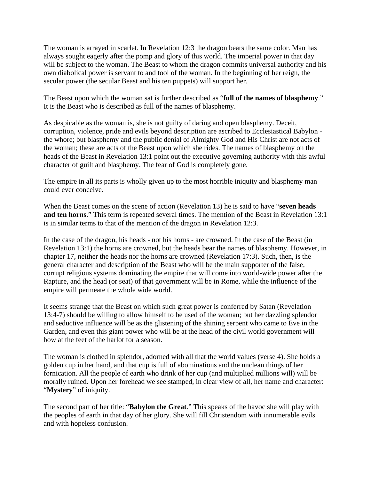The woman is arrayed in scarlet. In Revelation 12:3 the dragon bears the same color. Man has always sought eagerly after the pomp and glory of this world. The imperial power in that day will be subject to the woman. The Beast to whom the dragon commits universal authority and his own diabolical power is servant to and tool of the woman. In the beginning of her reign, the secular power (the secular Beast and his ten puppets) will support her.

The Beast upon which the woman sat is further described as "**full of the names of blasphemy**." It is the Beast who is described as full of the names of blasphemy.

As despicable as the woman is, she is not guilty of daring and open blasphemy. Deceit, corruption, violence, pride and evils beyond description are ascribed to Ecclesiastical Babylon the whore; but blasphemy and the public denial of Almighty God and His Christ are not acts of the woman; these are acts of the Beast upon which she rides. The names of blasphemy on the heads of the Beast in Revelation 13:1 point out the executive governing authority with this awful character of guilt and blasphemy. The fear of God is completely gone.

The empire in all its parts is wholly given up to the most horrible iniquity and blasphemy man could ever conceive.

When the Beast comes on the scene of action (Revelation 13) he is said to have "**seven heads and ten horns**." This term is repeated several times. The mention of the Beast in Revelation 13:1 is in similar terms to that of the mention of the dragon in Revelation 12:3.

In the case of the dragon, his heads - not his horns - are crowned. In the case of the Beast (in Revelation 13:1) the horns are crowned, but the heads bear the names of blasphemy. However, in chapter 17, neither the heads nor the horns are crowned (Revelation 17:3). Such, then, is the general character and description of the Beast who will be the main supporter of the false, corrupt religious systems dominating the empire that will come into world-wide power after the Rapture, and the head (or seat) of that government will be in Rome, while the influence of the empire will permeate the whole wide world.

It seems strange that the Beast on which such great power is conferred by Satan (Revelation 13:4-7) should be willing to allow himself to be used of the woman; but her dazzling splendor and seductive influence will be as the glistening of the shining serpent who came to Eve in the Garden, and even this giant power who will be at the head of the civil world government will bow at the feet of the harlot for a season.

The woman is clothed in splendor, adorned with all that the world values (verse 4). She holds a golden cup in her hand, and that cup is full of abominations and the unclean things of her fornication. All the people of earth who drink of her cup (and multiplied millions will) will be morally ruined. Upon her forehead we see stamped, in clear view of all, her name and character: "**Mystery**" of iniquity.

The second part of her title: "**Babylon the Great**." This speaks of the havoc she will play with the peoples of earth in that day of her glory. She will fill Christendom with innumerable evils and with hopeless confusion.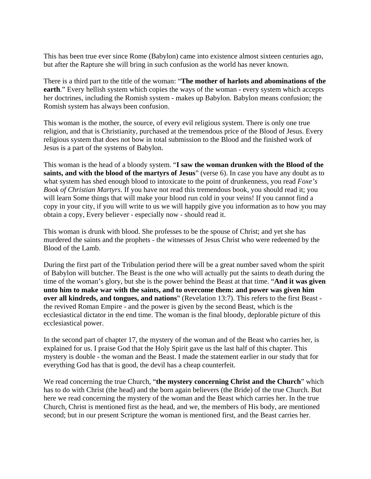This has been true ever since Rome (Babylon) came into existence almost sixteen centuries ago, but after the Rapture she will bring in such confusion as the world has never known.

There is a third part to the title of the woman: "**The mother of harlots and abominations of the earth**." Every hellish system which copies the ways of the woman - every system which accepts her doctrines, including the Romish system - makes up Babylon. Babylon means confusion; the Romish system has always been confusion.

This woman is the mother, the source, of every evil religious system. There is only one true religion, and that is Christianity, purchased at the tremendous price of the Blood of Jesus. Every religious system that does not bow in total submission to the Blood and the finished work of Jesus is a part of the systems of Babylon.

This woman is the head of a bloody system. "**I saw the woman drunken with the Blood of the saints, and with the blood of the martyrs of Jesus**" (verse 6). In case you have any doubt as to what system has shed enough blood to intoxicate to the point of drunkenness, you read *Foxe's Book of Christian Martyrs*. If you have not read this tremendous book, you should read it; you will learn Some things that will make your blood run cold in your veins! If you cannot find a copy in your city, if you will write to us we will happily give you information as to how you may obtain a copy, Every believer - especially now - should read it.

This woman is drunk with blood. She professes to be the spouse of Christ; and yet she has murdered the saints and the prophets - the witnesses of Jesus Christ who were redeemed by the Blood of the Lamb.

During the first part of the Tribulation period there will be a great number saved whom the spirit of Babylon will butcher. The Beast is the one who will actually put the saints to death during the time of the woman's glory, but she is the power behind the Beast at that time. "**And it was given unto him to make war with the saints, and to overcome them: and power was given him over all kindreds, and tongues, and nations**" (Revelation 13:7). This refers to the first Beast the revived Roman Empire - and the power is given by the second Beast, which is the ecclesiastical dictator in the end time. The woman is the final bloody, deplorable picture of this ecclesiastical power.

In the second part of chapter 17, the mystery of the woman and of the Beast who carries her, is explained for us. I praise God that the Holy Spirit gave us the last half of this chapter. This mystery is double - the woman and the Beast. I made the statement earlier in our study that for everything God has that is good, the devil has a cheap counterfeit.

We read concerning the true Church, "**the mystery concerning Christ and the Church**" which has to do with Christ (the head) and the born again believers (the Bride) of the true Church. But here we read concerning the mystery of the woman and the Beast which carries her. In the true Church, Christ is mentioned first as the head, and we, the members of His body, are mentioned second; but in our present Scripture the woman is mentioned first, and the Beast carries her.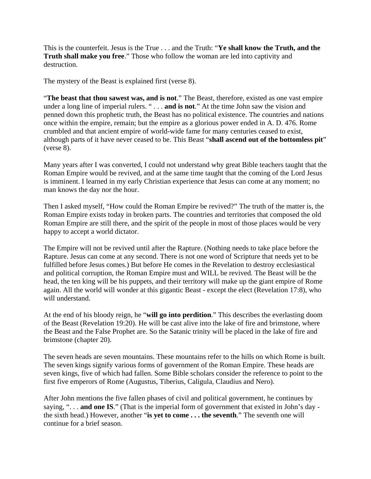This is the counterfeit. Jesus is the True . . . and the Truth: "**Ye shall know the Truth, and the Truth shall make you free**." Those who follow the woman are led into captivity and destruction.

The mystery of the Beast is explained first (verse 8).

"**The beast that thou sawest was, and is not**." The Beast, therefore, existed as one vast empire under a long line of imperial rulers. " . . . **and is not**." At the time John saw the vision and penned down this prophetic truth, the Beast has no political existence. The countries and nations once within the empire, remain; but the empire as a glorious power ended in A. D. 476. Rome crumbled and that ancient empire of world-wide fame for many centuries ceased to exist, although parts of it have never ceased to be. This Beast "**shall ascend out of the bottomless pit**" (verse 8).

Many years after I was converted, I could not understand why great Bible teachers taught that the Roman Empire would be revived, and at the same time taught that the coming of the Lord Jesus is imminent. I learned in my early Christian experience that Jesus can come at any moment; no man knows the day nor the hour.

Then I asked myself, "How could the Roman Empire be revived?" The truth of the matter is, the Roman Empire exists today in broken parts. The countries and territories that composed the old Roman Empire are still there, and the spirit of the people in most of those places would be very happy to accept a world dictator.

The Empire will not be revived until after the Rapture. (Nothing needs to take place before the Rapture. Jesus can come at any second. There is not one word of Scripture that needs yet to be fulfilled before Jesus comes.) But before He comes in the Revelation to destroy ecclesiastical and political corruption, the Roman Empire must and WILL be revived. The Beast will be the head, the ten king will be his puppets, and their territory will make up the giant empire of Rome again. All the world will wonder at this gigantic Beast - except the elect (Revelation 17:8), who will understand.

At the end of his bloody reign, he "**will go into perdition**." This describes the everlasting doom of the Beast (Revelation 19:20). He will be cast alive into the lake of fire and brimstone, where the Beast and the False Prophet are. So the Satanic trinity will be placed in the lake of fire and brimstone (chapter 20).

The seven heads are seven mountains. These mountains refer to the hills on which Rome is built. The seven kings signify various forms of government of the Roman Empire. These heads are seven kings, five of which had fallen. Some Bible scholars consider the reference to point to the first five emperors of Rome (Augustus, Tiberius, Caligula, Claudius and Nero).

After John mentions the five fallen phases of civil and political government, he continues by saying, ". . . **and one IS**." (That is the imperial form of government that existed in John's day the sixth head.) However, another "**is yet to come . . . the seventh**." The seventh one will continue for a brief season.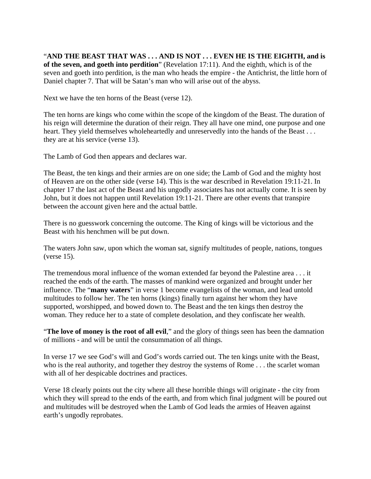"**AND THE BEAST THAT WAS . . . AND IS NOT . . . EVEN HE IS THE EIGHTH, and is of the seven, and goeth into perdition**" (Revelation 17:11). And the eighth, which is of the seven and goeth into perdition, is the man who heads the empire - the Antichrist, the little horn of Daniel chapter 7. That will be Satan's man who will arise out of the abyss.

Next we have the ten horns of the Beast (verse 12).

The ten horns are kings who come within the scope of the kingdom of the Beast. The duration of his reign will determine the duration of their reign. They all have one mind, one purpose and one heart. They yield themselves wholeheartedly and unreservedly into the hands of the Beast . . . they are at his service (verse 13).

The Lamb of God then appears and declares war.

The Beast, the ten kings and their armies are on one side; the Lamb of God and the mighty host of Heaven are on the other side (verse 14). This is the war described in Revelation 19:11-21. In chapter 17 the last act of the Beast and his ungodly associates has not actually come. It is seen by John, but it does not happen until Revelation 19:11-21. There are other events that transpire between the account given here and the actual battle.

There is no guesswork concerning the outcome. The King of kings will be victorious and the Beast with his henchmen will be put down.

The waters John saw, upon which the woman sat, signify multitudes of people, nations, tongues (verse 15).

The tremendous moral influence of the woman extended far beyond the Palestine area . . . it reached the ends of the earth. The masses of mankind were organized and brought under her influence. The "**many waters**" in verse 1 become evangelists of the woman, and lead untold multitudes to follow her. The ten horns (kings) finally turn against her whom they have supported, worshipped, and bowed down to. The Beast and the ten kings then destroy the woman. They reduce her to a state of complete desolation, and they confiscate her wealth.

"**The love of money is the root of all evil**," and the glory of things seen has been the damnation of millions - and will be until the consummation of all things.

In verse 17 we see God's will and God's words carried out. The ten kings unite with the Beast, who is the real authority, and together they destroy the systems of Rome . . . the scarlet woman with all of her despicable doctrines and practices.

Verse 18 clearly points out the city where all these horrible things will originate - the city from which they will spread to the ends of the earth, and from which final judgment will be poured out and multitudes will be destroyed when the Lamb of God leads the armies of Heaven against earth's ungodly reprobates.